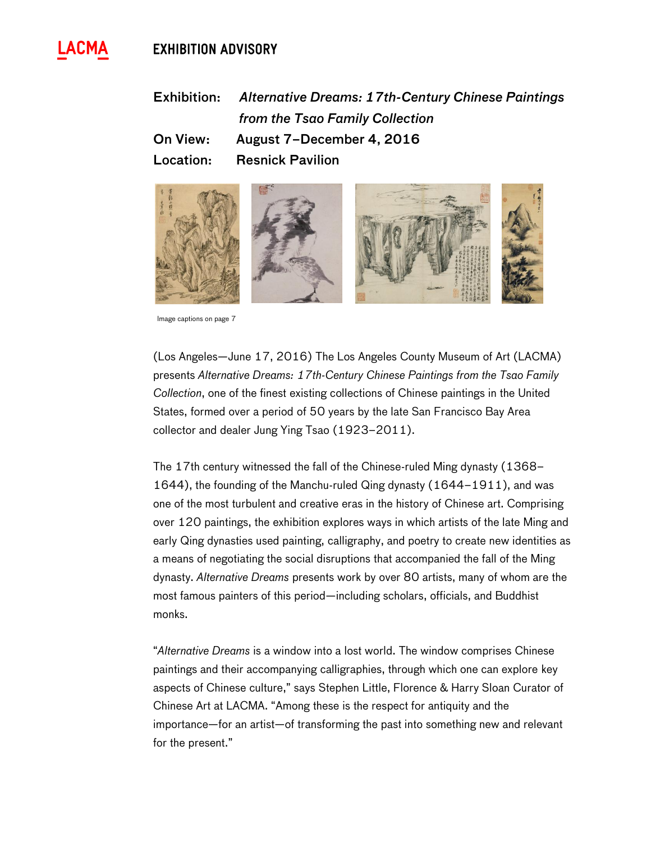# **EXHIBITION ADVISORY**





Image captions on page 7

(Los Angeles—June 17, 2016) The Los Angeles County Museum of Art (LACMA) presents *Alternative Dreams: 17th-Century Chinese Paintings from the Tsao Family Collection*, one of the finest existing collections of Chinese paintings in the United States, formed over a period of 50 years by the late San Francisco Bay Area collector and dealer Jung Ying Tsao (1923–2011).

The 17th century witnessed the fall of the Chinese-ruled Ming dynasty (1368– 1644), the founding of the Manchu-ruled Qing dynasty (1644–1911), and was one of the most turbulent and creative eras in the history of Chinese art. Comprising over 120 paintings, the exhibition explores ways in which artists of the late Ming and early Qing dynasties used painting, calligraphy, and poetry to create new identities as a means of negotiating the social disruptions that accompanied the fall of the Ming dynasty. *Alternative Dreams* presents work by over 80 artists, many of whom are the most famous painters of this period—including scholars, officials, and Buddhist monks.

"*Alternative Dreams* is a window into a lost world. The window comprises Chinese paintings and their accompanying calligraphies, through which one can explore key aspects of Chinese culture," says Stephen Little, Florence & Harry Sloan Curator of Chinese Art at LACMA. "Among these is the respect for antiquity and the importance—for an artist—of transforming the past into something new and relevant for the present."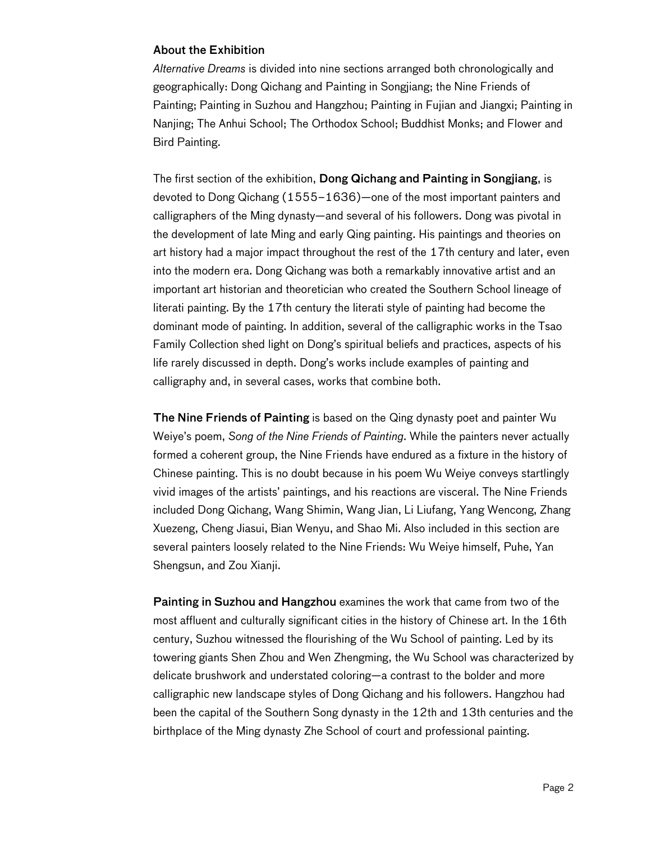## About the Exhibition

*Alternative Dreams* is divided into nine sections arranged both chronologically and geographically: Dong Qichang and Painting in Songjiang; the Nine Friends of Painting; Painting in Suzhou and Hangzhou; Painting in Fujian and Jiangxi; Painting in Nanjing; The Anhui School; The Orthodox School; Buddhist Monks; and Flower and Bird Painting.

The first section of the exhibition, Dong Qichang and Painting in Songjiang, is devoted to Dong Qichang (1555–1636)—one of the most important painters and calligraphers of the Ming dynasty—and several of his followers. Dong was pivotal in the development of late Ming and early Qing painting. His paintings and theories on art history had a major impact throughout the rest of the 17th century and later, even into the modern era. Dong Qichang was both a remarkably innovative artist and an important art historian and theoretician who created the Southern School lineage of literati painting. By the 17th century the literati style of painting had become the dominant mode of painting. In addition, several of the calligraphic works in the Tsao Family Collection shed light on Dong's spiritual beliefs and practices, aspects of his life rarely discussed in depth. Dong's works include examples of painting and calligraphy and, in several cases, works that combine both.

The Nine Friends of Painting is based on the Qing dynasty poet and painter Wu Weiye's poem, *Song of the Nine Friends of Painting*. While the painters never actually formed a coherent group, the Nine Friends have endured as a fixture in the history of Chinese painting. This is no doubt because in his poem Wu Weiye conveys startlingly vivid images of the artists' paintings, and his reactions are visceral. The Nine Friends included Dong Qichang, Wang Shimin, Wang Jian, Li Liufang, Yang Wencong, Zhang Xuezeng, Cheng Jiasui, Bian Wenyu, and Shao Mi. Also included in this section are several painters loosely related to the Nine Friends: Wu Weiye himself, Puhe, Yan Shengsun, and Zou Xianji.

Painting in Suzhou and Hangzhou examines the work that came from two of the most affluent and culturally significant cities in the history of Chinese art. In the 16th century, Suzhou witnessed the flourishing of the Wu School of painting. Led by its towering giants Shen Zhou and Wen Zhengming, the Wu School was characterized by delicate brushwork and understated coloring—a contrast to the bolder and more calligraphic new landscape styles of Dong Qichang and his followers. Hangzhou had been the capital of the Southern Song dynasty in the 12th and 13th centuries and the birthplace of the Ming dynasty Zhe School of court and professional painting.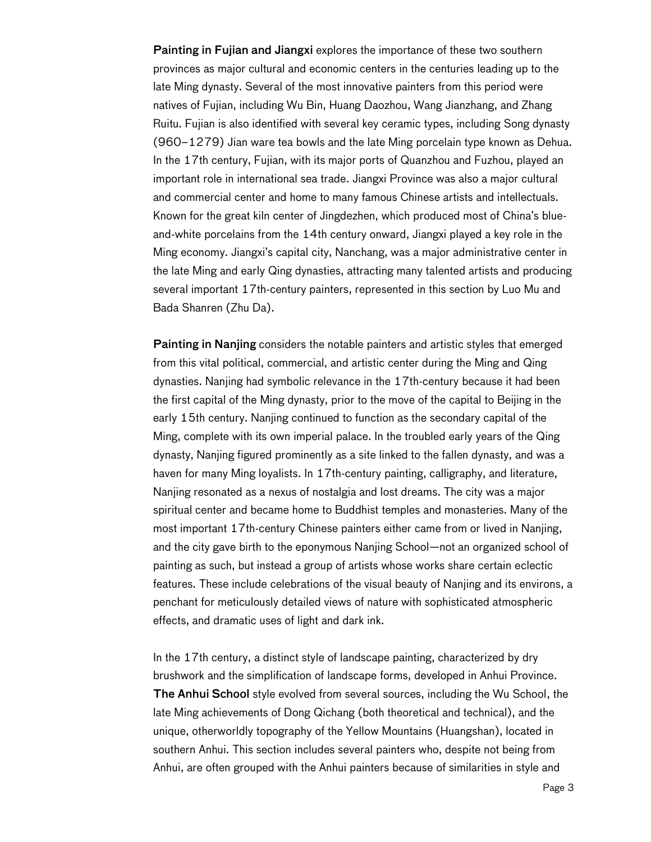Painting in Fujian and Jiangxi explores the importance of these two southern provinces as major cultural and economic centers in the centuries leading up to the late Ming dynasty. Several of the most innovative painters from this period were natives of Fujian, including Wu Bin, Huang Daozhou, Wang Jianzhang, and Zhang Ruitu. Fujian is also identified with several key ceramic types, including Song dynasty (960–1279) Jian ware tea bowls and the late Ming porcelain type known as Dehua. In the 17th century, Fujian, with its major ports of Quanzhou and Fuzhou, played an important role in international sea trade. Jiangxi Province was also a major cultural and commercial center and home to many famous Chinese artists and intellectuals. Known for the great kiln center of Jingdezhen, which produced most of China's blueand-white porcelains from the 14th century onward, Jiangxi played a key role in the Ming economy. Jiangxi's capital city, Nanchang, was a major administrative center in the late Ming and early Qing dynasties, attracting many talented artists and producing several important 17th-century painters, represented in this section by Luo Mu and Bada Shanren (Zhu Da).

Painting in Nanjing considers the notable painters and artistic styles that emerged from this vital political, commercial, and artistic center during the Ming and Qing dynasties. Nanjing had symbolic relevance in the 17th-century because it had been the first capital of the Ming dynasty, prior to the move of the capital to Beijing in the early 15th century. Nanjing continued to function as the secondary capital of the Ming, complete with its own imperial palace. In the troubled early years of the Qing dynasty, Nanjing figured prominently as a site linked to the fallen dynasty, and was a haven for many Ming loyalists. In 17th-century painting, calligraphy, and literature, Nanjing resonated as a nexus of nostalgia and lost dreams. The city was a major spiritual center and became home to Buddhist temples and monasteries. Many of the most important 17th-century Chinese painters either came from or lived in Nanjing, and the city gave birth to the eponymous Nanjing School—not an organized school of painting as such, but instead a group of artists whose works share certain eclectic features. These include celebrations of the visual beauty of Nanjing and its environs, a penchant for meticulously detailed views of nature with sophisticated atmospheric effects, and dramatic uses of light and dark ink.

In the 17th century, a distinct style of landscape painting, characterized by dry brushwork and the simplification of landscape forms, developed in Anhui Province. The Anhui School style evolved from several sources, including the Wu School, the late Ming achievements of Dong Qichang (both theoretical and technical), and the unique, otherworldly topography of the Yellow Mountains (Huangshan), located in southern Anhui. This section includes several painters who, despite not being from Anhui, are often grouped with the Anhui painters because of similarities in style and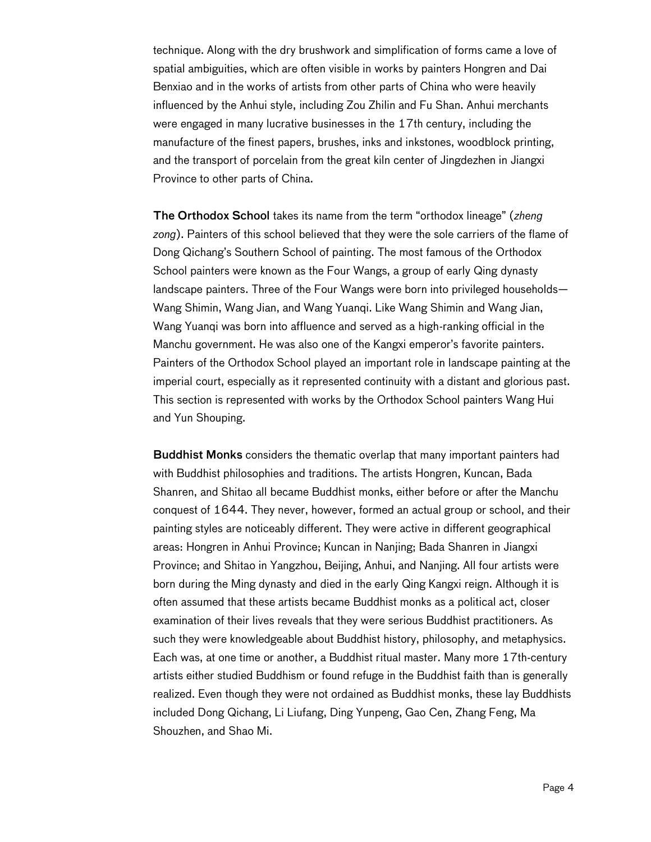technique. Along with the dry brushwork and simplification of forms came a love of spatial ambiguities, which are often visible in works by painters Hongren and Dai Benxiao and in the works of artists from other parts of China who were heavily influenced by the Anhui style, including Zou Zhilin and Fu Shan. Anhui merchants were engaged in many lucrative businesses in the 17th century, including the manufacture of the finest papers, brushes, inks and inkstones, woodblock printing, and the transport of porcelain from the great kiln center of Jingdezhen in Jiangxi Province to other parts of China.

The Orthodox School takes its name from the term "orthodox lineage" (*zheng zong*). Painters of this school believed that they were the sole carriers of the flame of Dong Qichang's Southern School of painting. The most famous of the Orthodox School painters were known as the Four Wangs, a group of early Qing dynasty landscape painters. Three of the Four Wangs were born into privileged households— Wang Shimin, Wang Jian, and Wang Yuanqi. Like Wang Shimin and Wang Jian, Wang Yuanqi was born into affluence and served as a high-ranking official in the Manchu government. He was also one of the Kangxi emperor's favorite painters. Painters of the Orthodox School played an important role in landscape painting at the imperial court, especially as it represented continuity with a distant and glorious past. This section is represented with works by the Orthodox School painters Wang Hui and Yun Shouping.

Buddhist Monks considers the thematic overlap that many important painters had with Buddhist philosophies and traditions. The artists Hongren, Kuncan, Bada Shanren, and Shitao all became Buddhist monks, either before or after the Manchu conquest of 1644. They never, however, formed an actual group or school, and their painting styles are noticeably different. They were active in different geographical areas: Hongren in Anhui Province; Kuncan in Nanjing; Bada Shanren in Jiangxi Province; and Shitao in Yangzhou, Beijing, Anhui, and Nanjing. All four artists were born during the Ming dynasty and died in the early Qing Kangxi reign. Although it is often assumed that these artists became Buddhist monks as a political act, closer examination of their lives reveals that they were serious Buddhist practitioners. As such they were knowledgeable about Buddhist history, philosophy, and metaphysics. Each was, at one time or another, a Buddhist ritual master. Many more 17th-century artists either studied Buddhism or found refuge in the Buddhist faith than is generally realized. Even though they were not ordained as Buddhist monks, these lay Buddhists included Dong Qichang, Li Liufang, Ding Yunpeng, Gao Cen, Zhang Feng, Ma Shouzhen, and Shao Mi.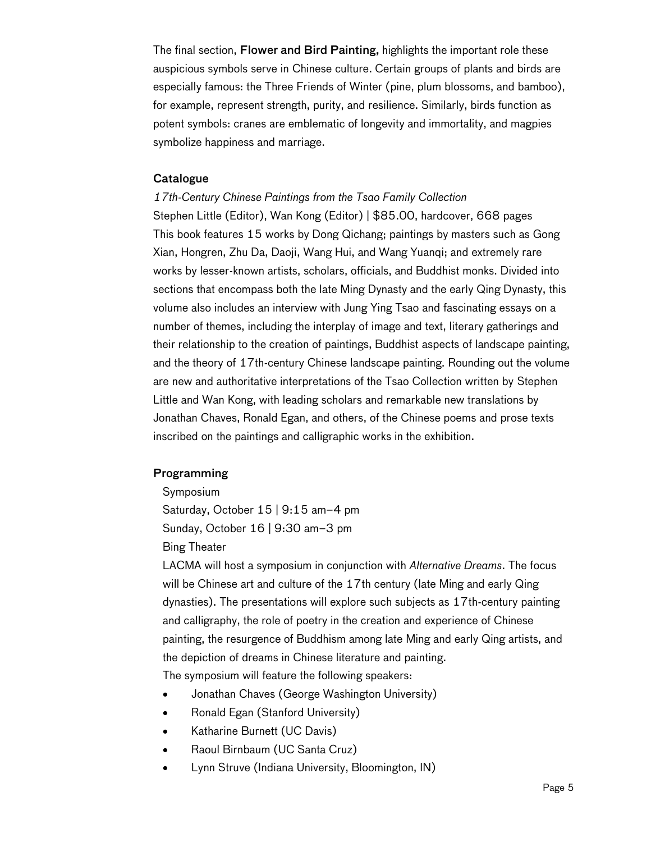The final section, Flower and Bird Painting, highlights the important role these auspicious symbols serve in Chinese culture. Certain groups of plants and birds are especially famous: the Three Friends of Winter (pine, plum blossoms, and bamboo), for example, represent strength, purity, and resilience. Similarly, birds function as potent symbols: cranes are emblematic of longevity and immortality, and magpies symbolize happiness and marriage.

### **Catalogue**

*17th-Century Chinese Paintings from the Tsao Family Collection* Stephen Little [\(Editor\),](http://prestelpublishing.randomhouse.de/Author/Stephen-Little/p541243.rhd) Wan Kong [\(Editor\)](http://prestelpublishing.randomhouse.de/Author/Stephen-Little/p541243.rhd) | \$85.00, hardcover, 668 pages This book features 15 works by Dong Qichang; paintings by masters such as Gong Xian, Hongren, Zhu Da, Daoji, Wang Hui, and Wang Yuanqi; and extremely rare works by lesser-known artists, scholars, officials, and Buddhist monks. Divided into sections that encompass both the late Ming Dynasty and the early Qing Dynasty, this volume also includes an interview with Jung Ying Tsao and fascinating essays on a number of themes, including the interplay of image and text, literary gatherings and their relationship to the creation of paintings, Buddhist aspects of landscape painting, and the theory of 17th-century Chinese landscape painting. Rounding out the volume are new and authoritative interpretations of the Tsao Collection written by Stephen Little and Wan Kong, with leading scholars and remarkable new translations by Jonathan Chaves, Ronald Egan, and others, of the Chinese poems and prose texts inscribed on the paintings and calligraphic works in the exhibition.

#### Programming

Symposium

Saturday, October 15 | 9:15 am–4 pm Sunday, October 16 | 9:30 am–3 pm

Bing Theater

LACMA will host a symposium in conjunction with *Alternative Dreams*. The focus will be Chinese art and culture of the 17th century (late Ming and early Qing dynasties). The presentations will explore such subjects as 17th-century painting and calligraphy, the role of poetry in the creation and experience of Chinese painting, the resurgence of Buddhism among late Ming and early Qing artists, and the depiction of dreams in Chinese literature and painting.

The symposium will feature the following speakers:

- Jonathan Chaves (George Washington University)
- Ronald Egan (Stanford University)
- Katharine Burnett (UC Davis)
- Raoul Birnbaum (UC Santa Cruz)
- Lynn Struve (Indiana University, Bloomington, IN)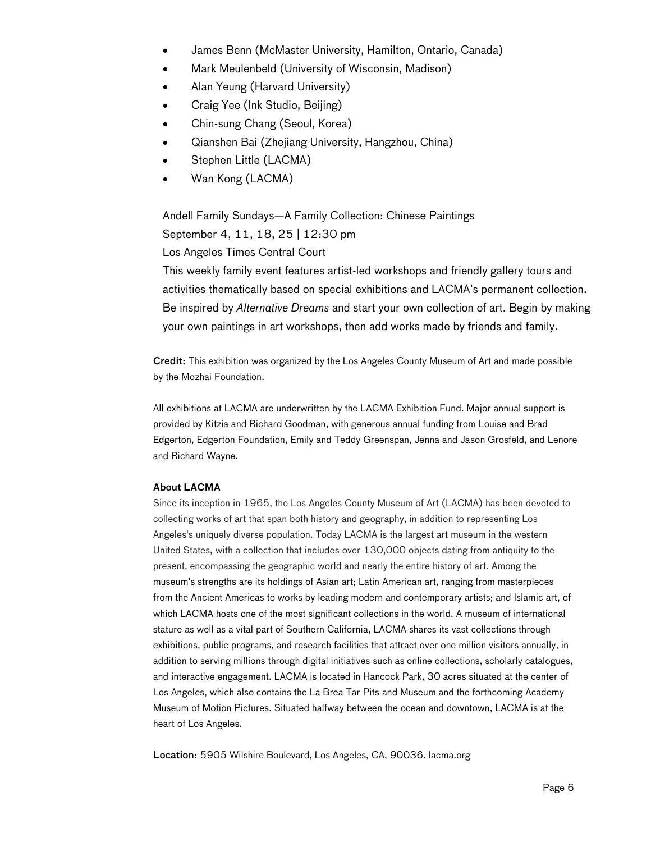- James Benn (McMaster University, Hamilton, Ontario, Canada)
- Mark Meulenbeld (University of Wisconsin, Madison)
- Alan Yeung (Harvard University)
- Craig Yee (Ink Studio, Beijing)
- Chin-sung Chang (Seoul, Korea)
- Qianshen Bai (Zhejiang University, Hangzhou, China)
- Stephen Little (LACMA)
- Wan Kong (LACMA)

Andell Family Sundays—A Family Collection: Chinese Paintings September 4, 11, 18, 25 | 12:30 pm Los Angeles Times Central Court

This weekly family event features artist-led workshops and friendly gallery tours and activities thematically based on special exhibitions and LACMA's permanent collection. Be inspired by *Alternative Dreams* and start your own collection of art. Begin by making your own paintings in art workshops, then add works made by friends and family.

Credit: This exhibition was organized by the Los Angeles County Museum of Art and made possible by the Mozhai Foundation.

All exhibitions at LACMA are underwritten by the LACMA Exhibition Fund. Major annual support is provided by Kitzia and Richard Goodman, with generous annual funding from Louise and Brad Edgerton, Edgerton Foundation, Emily and Teddy Greenspan, Jenna and Jason Grosfeld, and Lenore and Richard Wayne.

#### About LACMA

Since its inception in 1965, the Los Angeles County Museum of Art (LACMA) has been devoted to collecting works of art that span both history and geography, in addition to representing Los Angeles's uniquely diverse population. Today LACMA is the largest art museum in the western United States, with a collection that includes over 130,000 objects dating from antiquity to the present, encompassing the geographic world and nearly the entire history of art. Among the museum's strengths are its holdings of Asian art; Latin American art, ranging from masterpieces from the Ancient Americas to works by leading modern and contemporary artists; and Islamic art, of which LACMA hosts one of the most significant collections in the world. A museum of international stature as well as a vital part of Southern California, LACMA shares its vast collections through exhibitions, public programs, and research facilities that attract over one million visitors annually, in addition to serving millions through digital initiatives such as online collections, scholarly catalogues, and interactive engagement. LACMA is located in Hancock Park, 30 acres situated at the center of Los Angeles, which also contains the La Brea Tar Pits and Museum and the forthcoming Academy Museum of Motion Pictures. Situated halfway between the ocean and downtown, LACMA is at the heart of Los Angeles.

Location: 5905 Wilshire Boulevard, Los Angeles, CA, 90036. lacma.org